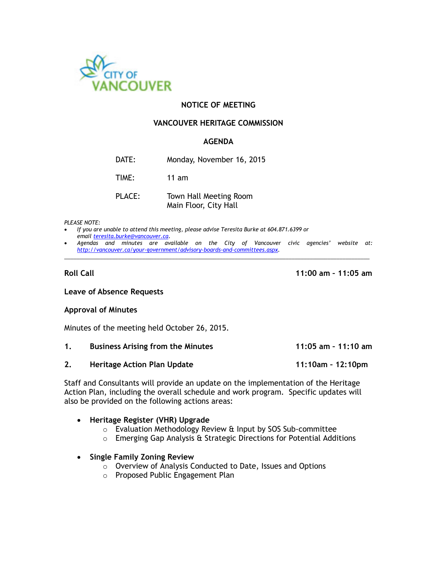

## **NOTICE OF MEETING**

#### **VANCOUVER HERITAGE COMMISSION**

## **AGENDA**

| Monday, November 16, 2015 |
|---------------------------|
|                           |

TIME: 11 am

| PLACE: | Town Hall Meeting Room |
|--------|------------------------|
|        | Main Floor, City Hall  |

#### *PLEASE NOTE:*

- *If you are unable to attend this meeting, please advise Teresita Burke at 604.871.6399 or emai[l teresita.burke@vancouver.ca.](mailto:teresita.burke@vancouver.ca)*
- *Agendas and minutes are available on the City of Vancouver civic agencies' website at: [http://vancouver.ca/your-government/advisory-boards-and-committees.aspx.](http://vancouver.ca/your-government/advisory-boards-and-committees.aspx)*  \_\_\_\_\_\_\_\_\_\_\_\_\_\_\_\_\_\_\_\_\_\_\_\_\_\_\_\_\_\_\_\_\_\_\_\_\_\_\_\_\_\_\_\_\_\_\_\_\_\_\_\_\_\_\_\_\_\_\_\_\_\_\_\_\_\_\_\_\_\_\_\_\_\_\_\_\_\_\_\_\_\_\_\_\_\_\_\_\_\_\_\_\_\_\_\_\_\_\_\_\_\_

**Roll Call 11:00 am – 11:05 am**

#### **Leave of Absence Requests**

#### **Approval of Minutes**

Minutes of the meeting held October 26, 2015.

| <b>Business Arising from the Minutes</b> | 11:05 am - 11:10 am |
|------------------------------------------|---------------------|
|                                          |                     |

**2. Heritage Action Plan Update 11:10am – 12:10pm**

Staff and Consultants will provide an update on the implementation of the Heritage Action Plan, including the overall schedule and work program. Specific updates will also be provided on the following actions areas:

#### **Heritage Register (VHR) Upgrade**

- o Evaluation Methodology Review & Input by SOS Sub-committee
- o Emerging Gap Analysis & Strategic Directions for Potential Additions

#### **Single Family Zoning Review**

- o Overview of Analysis Conducted to Date, Issues and Options
- o Proposed Public Engagement Plan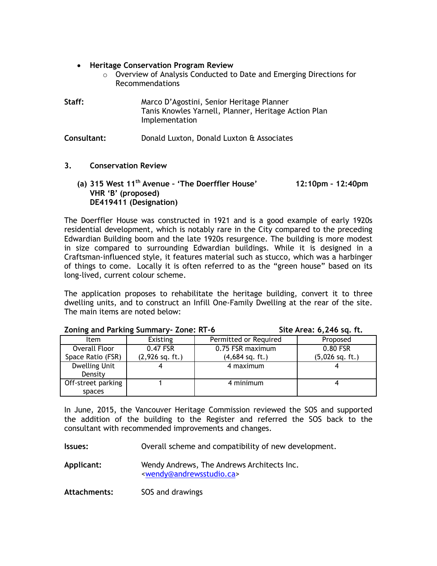- **Heritage Conservation Program Review**
	- o Overview of Analysis Conducted to Date and Emerging Directions for Recommendations

| Staff: | Marco D'Agostini, Senior Heritage Planner                              |
|--------|------------------------------------------------------------------------|
|        | Tanis Knowles Yarnell, Planner, Heritage Action Plan<br>Implementation |

**Consultant:** Donald Luxton, Donald Luxton & Associates

- **3. Conservation Review**
	- **(a) 315 West 11th Avenue – 'The Doerffler House' 12:10pm – 12:40pm VHR 'B' (proposed) DE419411 (Designation)**

The Doerffler House was constructed in 1921 and is a good example of early 1920s residential development, which is notably rare in the City compared to the preceding Edwardian Building boom and the late 1920s resurgence. The building is more modest in size compared to surrounding Edwardian buildings. While it is designed in a Craftsman-influenced style, it features material such as stucco, which was a harbinger of things to come. Locally it is often referred to as the "green house" based on its long-lived, current colour scheme.

The application proposes to rehabilitate the heritage building, convert it to three dwelling units, and to construct an Infill One-Family Dwelling at the rear of the site. The main items are noted below:

| Item                            | <b>Existing</b>   | Permitted or Required | Proposed          |  |
|---------------------------------|-------------------|-----------------------|-------------------|--|
| Overall Floor                   | 0.47 FSR          | 0.75 FSR maximum      | 0.80 FSR          |  |
| Space Ratio (FSR)               | $(2,926$ sq. ft.) | $(4,684$ sq. ft.)     | $(5,026$ sq. ft.) |  |
| <b>Dwelling Unit</b><br>Density |                   | 4 maximum             |                   |  |
| Off-street parking<br>spaces    |                   | 4 minimum             |                   |  |

## **Zoning and Parking Summary- Zone: RT-6 Site Area: 6,246 sq. ft.**

In June, 2015, the Vancouver Heritage Commission reviewed the SOS and supported the addition of the building to the Register and referred the SOS back to the consultant with recommended improvements and changes.

**Issues:** Overall scheme and compatibility of new development.

**Applicant:** Wendy Andrews, The Andrews Architects Inc. [<wendy@andrewsstudio.ca>](mailto:wendy@andrewsstudio.ca)

**Attachments:** SOS and drawings